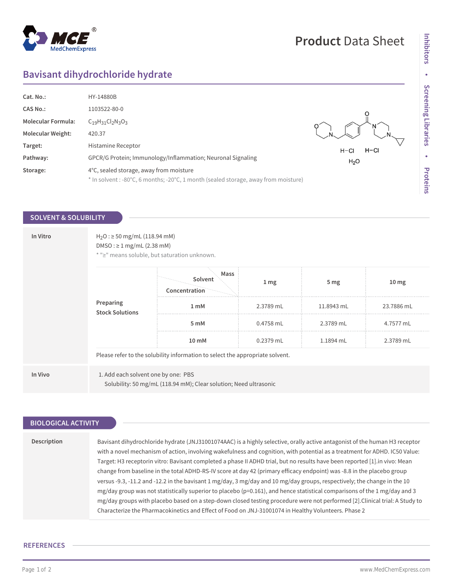## $^{\circledR}$ MedChemExpress

# **Product** Data Sheet

# **Bavisant dihydrochloride hydrate**

| Cat. No.:                 | HY-14880B                                                                           |                  |
|---------------------------|-------------------------------------------------------------------------------------|------------------|
| <b>CAS No.:</b>           | 1103522-80-0                                                                        |                  |
| <b>Molecular Formula:</b> | $C_{19}H_{31}Cl_{2}N_{3}O_{3}$                                                      |                  |
| <b>Molecular Weight:</b>  | 420.37                                                                              |                  |
| Target:                   | Histamine Receptor                                                                  | $H-CI$<br>$H-CI$ |
| Pathway:                  | GPCR/G Protein; Immunology/Inflammation; Neuronal Signaling                         | H <sub>2</sub> O |
| Storage:                  | 4°C, sealed storage, away from moisture                                             |                  |
|                           | * In solvent : -80°C, 6 months; -20°C, 1 month (sealed storage, away from moisture) |                  |

## **SOLVENT & SOLUBILITY**

| In Vitro | $H_2O$ : $\geq$ 50 mg/mL (118.94 mM)<br>DMSO: $\geq$ 1 mg/mL (2.38 mM)<br>* ">" means soluble, but saturation unknown. |                                                                               |                  |                 |                  |
|----------|------------------------------------------------------------------------------------------------------------------------|-------------------------------------------------------------------------------|------------------|-----------------|------------------|
|          | Preparing<br><b>Stock Solutions</b>                                                                                    | Mass<br>Solvent<br>Concentration                                              | $1 \, \text{mg}$ | 5 <sub>mg</sub> | 10 <sub>mg</sub> |
|          |                                                                                                                        | 1 mM                                                                          | 2.3789 mL        | 11.8943 mL      | 23.7886 mL       |
|          |                                                                                                                        | 5 mM                                                                          | 0.4758 mL        | 2.3789 mL       | 4.7577 mL        |
|          |                                                                                                                        | 10 mM                                                                         | 0.2379 mL        | 1.1894 mL       | 2.3789 mL        |
|          |                                                                                                                        | Please refer to the solubility information to select the appropriate solvent. |                  |                 |                  |
| In Vivo  | 1. Add each solvent one by one: PBS                                                                                    | Solubility: 50 mg/mL (118.94 mM); Clear solution; Need ultrasonic             |                  |                 |                  |

| <b>BIOLOGICAL ACTIVITY</b> |                                                                                                                                                                                                                                                                                                                                                                                                                                                                                                                                                                                                                                                                                                                                                                                                                                                                                                                                                                                                                  |
|----------------------------|------------------------------------------------------------------------------------------------------------------------------------------------------------------------------------------------------------------------------------------------------------------------------------------------------------------------------------------------------------------------------------------------------------------------------------------------------------------------------------------------------------------------------------------------------------------------------------------------------------------------------------------------------------------------------------------------------------------------------------------------------------------------------------------------------------------------------------------------------------------------------------------------------------------------------------------------------------------------------------------------------------------|
|                            |                                                                                                                                                                                                                                                                                                                                                                                                                                                                                                                                                                                                                                                                                                                                                                                                                                                                                                                                                                                                                  |
| Description                | Bavisant dihydrochloride hydrate (JNJ31001074AAC) is a highly selective, orally active antagonist of the human H3 receptor<br>with a novel mechanism of action, involving wakefulness and cognition, with potential as a treatment for ADHD. IC50 Value:<br>Target: H3 receptorin vitro: Bavisant completed a phase II ADHD trial, but no results have been reported [1].in vivo: Mean<br>change from baseline in the total ADHD-RS-IV score at day 42 (primary efficacy endpoint) was -8.8 in the placebo group<br>versus -9.3, -11.2 and -12.2 in the bavisant 1 mg/day, 3 mg/day and 10 mg/day groups, respectively; the change in the 10<br>$mg/day$ group was not statistically superior to placebo (p=0.161), and hence statistical comparisons of the 1 mg/day and 3<br>mg/day groups with placebo based on a step-down closed testing procedure were not performed [2].Clinical trial: A Study to<br>Characterize the Pharmacokinetics and Effect of Food on JNJ-31001074 in Healthy Volunteers. Phase 2 |
|                            |                                                                                                                                                                                                                                                                                                                                                                                                                                                                                                                                                                                                                                                                                                                                                                                                                                                                                                                                                                                                                  |

### **REFERENCES**